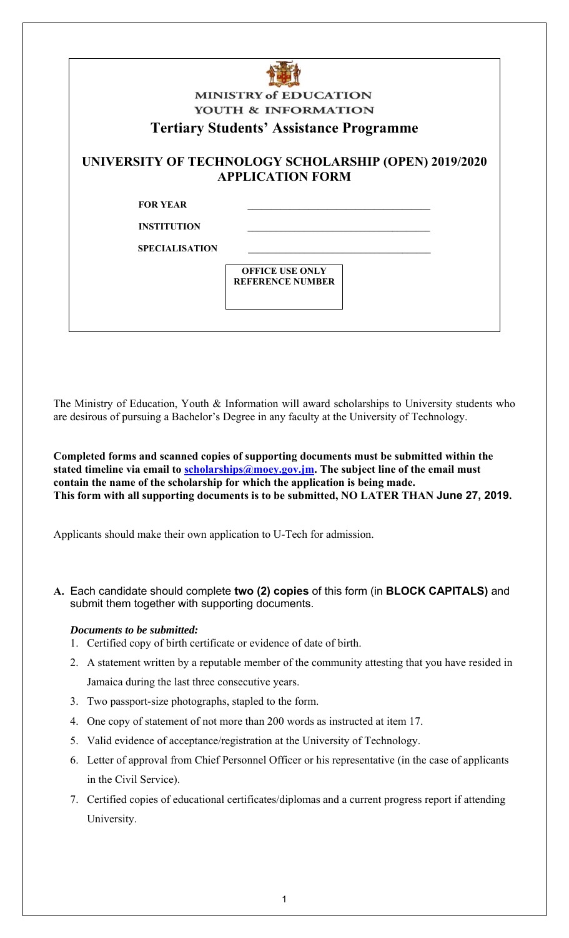| <b>MINISTRY of EDUCATION</b>                                                     |
|----------------------------------------------------------------------------------|
| YOUTH & INFORMATION                                                              |
| <b>Tertiary Students' Assistance Programme</b>                                   |
| UNIVERSITY OF TECHNOLOGY SCHOLARSHIP (OPEN) 2019/2020<br><b>APPLICATION FORM</b> |
| <b>FOR YEAR</b>                                                                  |
| <b>INSTITUTION</b>                                                               |
| <b>SPECIALISATION</b>                                                            |
| <b>OFFICE USE ONLY</b><br><b>REFERENCE NUMBER</b>                                |
|                                                                                  |

The Ministry of Education, Youth & Information will award scholarships to University students who are desirous of pursuing a Bachelor's Degree in any faculty at the University of Technology.

**Completed forms and scanned copies of supporting documents must be submitted within the**  stated timeline via email to **scholarships@moey.gov.jm**. The subject line of the email must **contain the name of the scholarship for which the application is being made. This form with all supporting documents is to be submitted, NO LATER THAN June 27, 2019.** 

Applicants should make their own application to U-Tech for admission.

**A.** Each candidate should complete **two (2) copies** of this form (in **BLOCK CAPITALS)** and submit them together with supporting documents.

### *Documents to be submitted:*

- 1. Certified copy of birth certificate or evidence of date of birth.
- 2. A statement written by a reputable member of the community attesting that you have resided in Jamaica during the last three consecutive years.
- 3. Two passport-size photographs, stapled to the form.
- 4. One copy of statement of not more than 200 words as instructed at item 17.
- 5. Valid evidence of acceptance/registration at the University of Technology.
- 6. Letter of approval from Chief Personnel Officer or his representative (in the case of applicants in the Civil Service).
- 7. Certified copies of educational certificates/diplomas and a current progress report if attending University.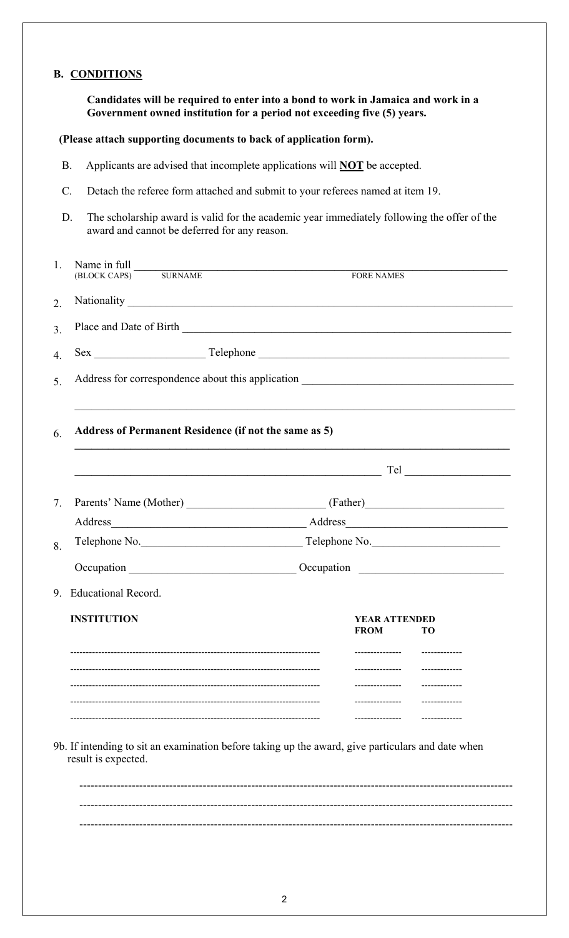## **B. CONDITIONS**

**Candidates will be required to enter into a bond to work in Jamaica and work in a Government owned institution for a period not exceeding five (5) years.** 

 **(Please attach supporting documents to back of application form).** 

- B. Applicants are advised that incomplete applications will **NOT** be accepted.
- C. Detach the referee form attached and submit to your referees named at item 19.
- D. The scholarship award is valid for the academic year immediately following the offer of the award and cannot be deferred for any reason.

| (BLOCK CAPS) SURNAME                                  | <b>FORE NAMES</b>                                                                                                                                                                                                              |  |
|-------------------------------------------------------|--------------------------------------------------------------------------------------------------------------------------------------------------------------------------------------------------------------------------------|--|
|                                                       |                                                                                                                                                                                                                                |  |
|                                                       |                                                                                                                                                                                                                                |  |
|                                                       |                                                                                                                                                                                                                                |  |
|                                                       |                                                                                                                                                                                                                                |  |
| Address of Permanent Residence (if not the same as 5) |                                                                                                                                                                                                                                |  |
|                                                       |                                                                                                                                                                                                                                |  |
|                                                       |                                                                                                                                                                                                                                |  |
|                                                       | Address Address Address Address Address Address Address Address Address Address Address Address Address Address Address Address Address Address Address Address Address Address Address Address Address Address Address Addres |  |
|                                                       | Telephone No. Telephone No.                                                                                                                                                                                                    |  |
|                                                       | Occupation Construction Construction Communication Communication Communication Communication Communication Communication Communication Communication Communication Communication Communication Communication Communication Com |  |
|                                                       |                                                                                                                                                                                                                                |  |
|                                                       | <b>YEAR ATTENDED</b><br><b>FROM</b><br>TО<br>---------------                                                                                                                                                                   |  |
|                                                       | ---------------                                                                                                                                                                                                                |  |
|                                                       |                                                                                                                                                                                                                                |  |
|                                                       | 9b. If intending to sit an examination before taking up the award, give particulars and date when                                                                                                                              |  |
|                                                       |                                                                                                                                                                                                                                |  |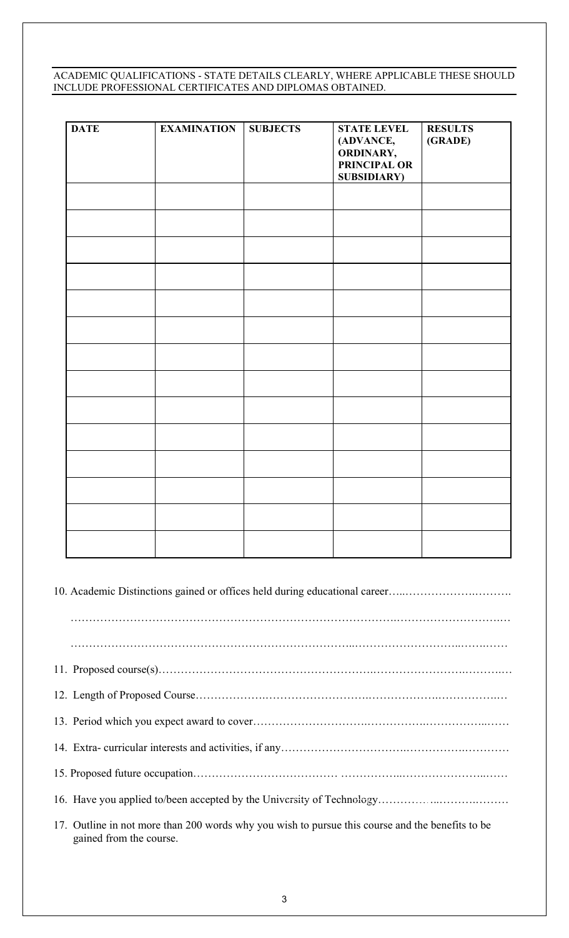### ACADEMIC QUALIFICATIONS - STATE DETAILS CLEARLY, WHERE APPLICABLE THESE SHOULD INCLUDE PROFESSIONAL CERTIFICATES AND DIPLOMAS OBTAINED.

| <b>DATE</b> | <b>EXAMINATION</b> | <b>SUBJECTS</b> | <b>STATE LEVEL</b><br>(ADVANCE,<br>ORDINARY,<br>PRINCIPAL OR<br><b>SUBSIDIARY)</b> | <b>RESULTS</b><br>(GRADE) |
|-------------|--------------------|-----------------|------------------------------------------------------------------------------------|---------------------------|
|             |                    |                 |                                                                                    |                           |
|             |                    |                 |                                                                                    |                           |
|             |                    |                 |                                                                                    |                           |
|             |                    |                 |                                                                                    |                           |
|             |                    |                 |                                                                                    |                           |
|             |                    |                 |                                                                                    |                           |
|             |                    |                 |                                                                                    |                           |
|             |                    |                 |                                                                                    |                           |
|             |                    |                 |                                                                                    |                           |
|             |                    |                 |                                                                                    |                           |
|             |                    |                 |                                                                                    |                           |
|             |                    |                 |                                                                                    |                           |
|             |                    |                 |                                                                                    |                           |
|             |                    |                 |                                                                                    |                           |

# 10. Academic Distinctions gained or offices held during educational career…..……………….……….

…………………………………………………………………………….……………………….… …………………………………………………………………..………………………..…….…… 11. Proposed course(s)………………………………………………….…………………….……….… 12. Length of Proposed Course……………….……………………….……………….…………….… 13. Period which you expect award to cover………………………….…………….……………..…… 14. Extra- curricular interests and activities, if any…………………………….…………….………… 15. Proposed future occupation………………………………… ……………..…………………..…… 16. Have you applied to/been accepted by the University of Technology……………..……….……… 17. Outline in not more than 200 words why you wish to pursue this course and the benefits to be gained from the course.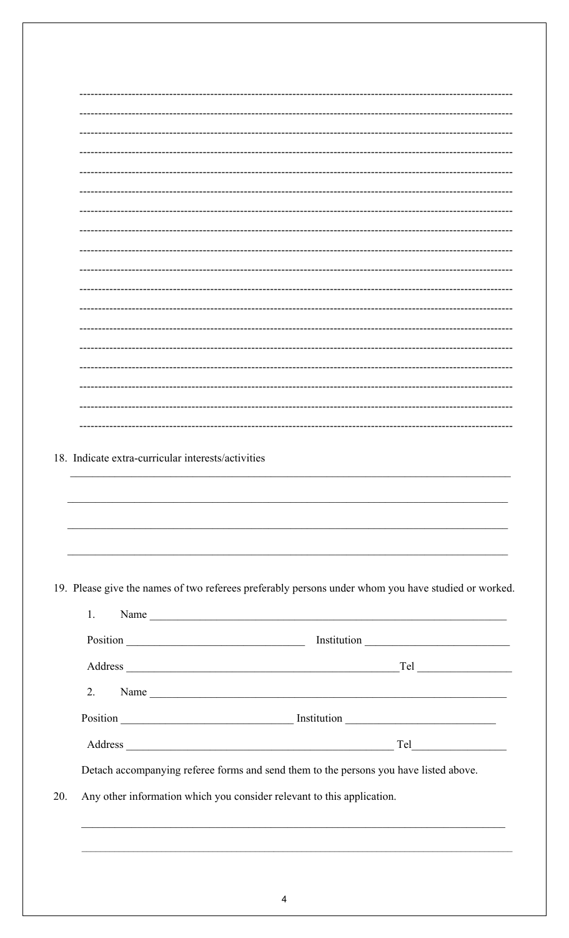|     | 1. |                                                                                                                                                                                                                                                                                                                                                                                                                                                                                                                                         |
|-----|----|-----------------------------------------------------------------------------------------------------------------------------------------------------------------------------------------------------------------------------------------------------------------------------------------------------------------------------------------------------------------------------------------------------------------------------------------------------------------------------------------------------------------------------------------|
|     |    |                                                                                                                                                                                                                                                                                                                                                                                                                                                                                                                                         |
|     |    |                                                                                                                                                                                                                                                                                                                                                                                                                                                                                                                                         |
|     | 2. |                                                                                                                                                                                                                                                                                                                                                                                                                                                                                                                                         |
|     |    |                                                                                                                                                                                                                                                                                                                                                                                                                                                                                                                                         |
|     |    |                                                                                                                                                                                                                                                                                                                                                                                                                                                                                                                                         |
|     |    | Detach accompanying referee forms and send them to the persons you have listed above.                                                                                                                                                                                                                                                                                                                                                                                                                                                   |
| 20. |    | <u> 1999 - 1999 - 1999 - 1999 - 1999 - 1999 - 1999 - 1999 - 1999 - 1999 - 1999 - 1999 - 1999 - 1999 - 1999 - 199</u><br>19. Please give the names of two referees preferably persons under whom you have studied or worked.<br>Address Tel Tel Tel Contract to the Contract of the Contract of Tel Contract of the Contract of the Contract of Tel Contract of the Contract of the Contract of the Contract of the Contract of the Contract of the Contract o<br>Any other information which you consider relevant to this application. |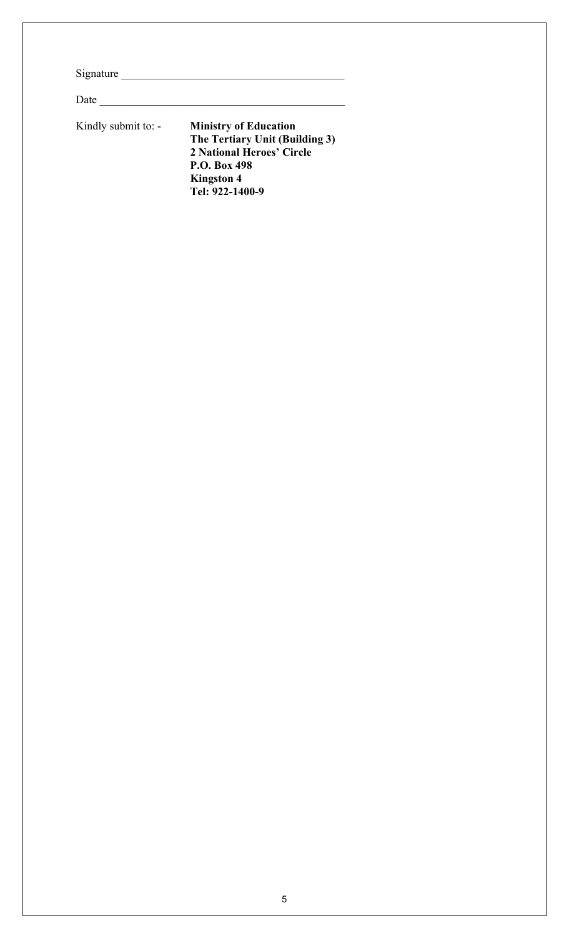| Signature           |                                                                |
|---------------------|----------------------------------------------------------------|
| Date                |                                                                |
| Kindly submit to: - | <b>Ministry of Education</b><br>The Tertiary Unit (Building 3) |
|                     | 2 National Heroes' Circle                                      |
|                     | <b>P.O. Box 498</b>                                            |
|                     | <b>Kingston 4</b>                                              |
|                     | Tel: 922-1400-9                                                |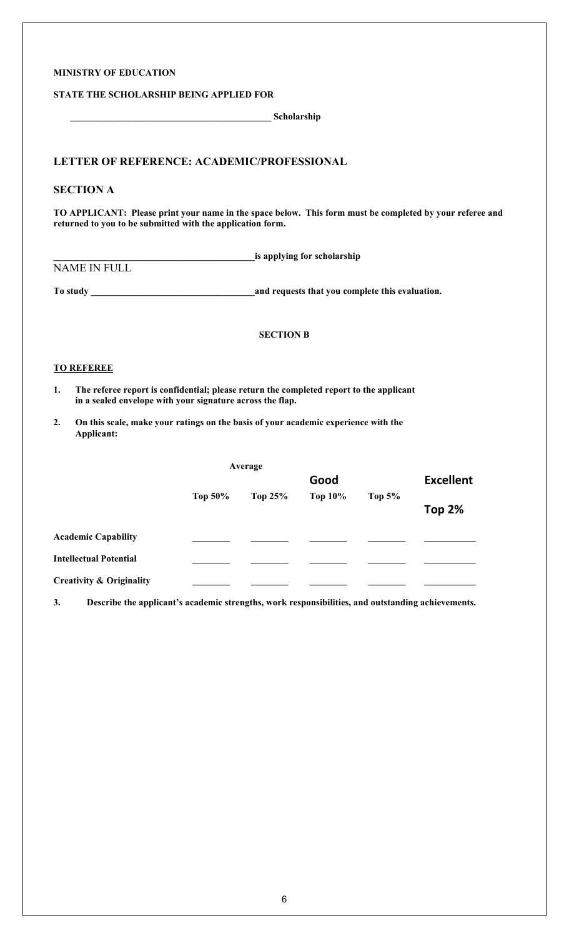#### **MINISTRY OF EDUCATION**

#### **STATE THE SCHOLARSHIP BEING APPLIED FOR**

 **\_\_\_\_\_\_\_\_\_\_\_\_\_\_\_\_\_\_\_\_\_\_\_\_\_\_\_\_\_\_\_\_\_\_\_\_\_\_\_\_\_\_\_ Scholarship** 

## **LETTER OF REFERENCE: ACADEMIC/PROFESSIONAL**

### **SECTION A**

**TO APPLICANT: Please print your name in the space below. This form must be completed by your referee and returned to you to be submitted with the application form.** 

NAME IN FULL

**\_\_\_\_\_\_\_\_\_\_\_\_\_\_\_\_\_\_\_\_\_\_\_\_\_\_\_\_\_\_\_\_\_\_\_\_\_\_\_\_\_\_\_is applying for scholarship** 

**To study \_\_\_\_\_\_\_\_\_\_\_\_\_\_\_\_\_\_\_\_\_\_\_\_\_\_\_\_\_\_\_\_\_\_\_and requests that you complete this evaluation.** 

#### **SECTION B**

#### **TO REFEREE**

**1. The referee report is confidential; please return the completed report to the applicant in a sealed envelope with your signature across the flap.** 

**2. On this scale, make your ratings on the basis of your academic experience with the Applicant:** 

|                                     | Average |         |         |        |                  |
|-------------------------------------|---------|---------|---------|--------|------------------|
|                                     |         |         | Good    |        | <b>Excellent</b> |
|                                     | Top 50% | Top 25% | Top 10% | Top 5% |                  |
|                                     |         |         |         |        | Top 2%           |
| <b>Academic Capability</b>          |         |         |         |        |                  |
| <b>Intellectual Potential</b>       |         |         |         |        |                  |
| <b>Creativity &amp; Originality</b> |         |         |         |        |                  |

**3. Describe the applicant's academic strengths, work responsibilities, and outstanding achievements.**